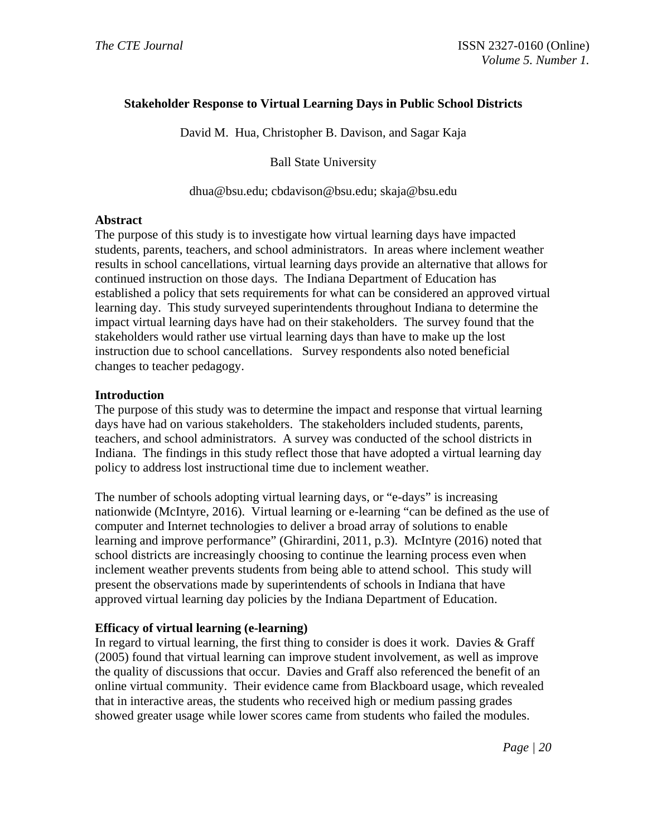### **Stakeholder Response to Virtual Learning Days in Public School Districts**

David M. Hua, Christopher B. Davison, and Sagar Kaja

Ball State University

dhua@bsu.edu; cbdavison@bsu.edu; skaja@bsu.edu

### **Abstract**

The purpose of this study is to investigate how virtual learning days have impacted students, parents, teachers, and school administrators. In areas where inclement weather results in school cancellations, virtual learning days provide an alternative that allows for continued instruction on those days. The Indiana Department of Education has established a policy that sets requirements for what can be considered an approved virtual learning day. This study surveyed superintendents throughout Indiana to determine the impact virtual learning days have had on their stakeholders. The survey found that the stakeholders would rather use virtual learning days than have to make up the lost instruction due to school cancellations. Survey respondents also noted beneficial changes to teacher pedagogy.

### **Introduction**

The purpose of this study was to determine the impact and response that virtual learning days have had on various stakeholders. The stakeholders included students, parents, teachers, and school administrators. A survey was conducted of the school districts in Indiana. The findings in this study reflect those that have adopted a virtual learning day policy to address lost instructional time due to inclement weather.

The number of schools adopting virtual learning days, or "e-days" is increasing nationwide (McIntyre, 2016). Virtual learning or e-learning "can be defined as the use of computer and Internet technologies to deliver a broad array of solutions to enable learning and improve performance" (Ghirardini, 2011, p.3). McIntyre (2016) noted that school districts are increasingly choosing to continue the learning process even when inclement weather prevents students from being able to attend school. This study will present the observations made by superintendents of schools in Indiana that have approved virtual learning day policies by the Indiana Department of Education.

### **Efficacy of virtual learning (e-learning)**

In regard to virtual learning, the first thing to consider is does it work. Davies & Graff (2005) found that virtual learning can improve student involvement, as well as improve the quality of discussions that occur. Davies and Graff also referenced the benefit of an online virtual community. Their evidence came from Blackboard usage, which revealed that in interactive areas, the students who received high or medium passing grades showed greater usage while lower scores came from students who failed the modules.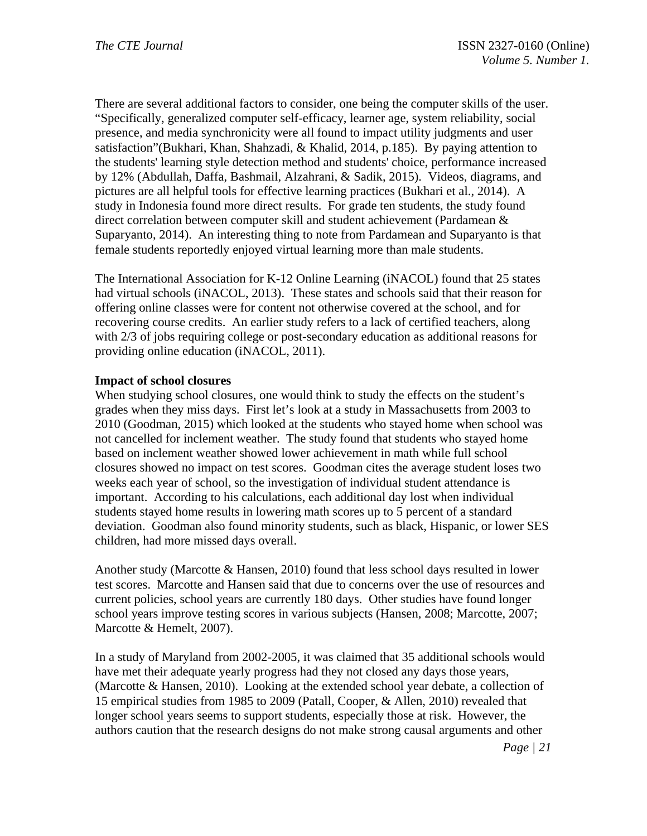There are several additional factors to consider, one being the computer skills of the user. "Specifically, generalized computer self-efficacy, learner age, system reliability, social presence, and media synchronicity were all found to impact utility judgments and user satisfaction"(Bukhari, Khan, Shahzadi, & Khalid, 2014, p.185). By paying attention to the students' learning style detection method and students' choice, performance increased by 12% (Abdullah, Daffa, Bashmail, Alzahrani, & Sadik, 2015). Videos, diagrams, and pictures are all helpful tools for effective learning practices (Bukhari et al., 2014). A study in Indonesia found more direct results. For grade ten students, the study found direct correlation between computer skill and student achievement (Pardamean & Suparyanto, 2014). An interesting thing to note from Pardamean and Suparyanto is that female students reportedly enjoyed virtual learning more than male students.

The International Association for K-12 Online Learning (iNACOL) found that 25 states had virtual schools (iNACOL, 2013). These states and schools said that their reason for offering online classes were for content not otherwise covered at the school, and for recovering course credits. An earlier study refers to a lack of certified teachers, along with 2/3 of jobs requiring college or post-secondary education as additional reasons for providing online education (iNACOL, 2011).

### **Impact of school closures**

When studying school closures, one would think to study the effects on the student's grades when they miss days. First let's look at a study in Massachusetts from 2003 to 2010 (Goodman, 2015) which looked at the students who stayed home when school was not cancelled for inclement weather. The study found that students who stayed home based on inclement weather showed lower achievement in math while full school closures showed no impact on test scores. Goodman cites the average student loses two weeks each year of school, so the investigation of individual student attendance is important. According to his calculations, each additional day lost when individual students stayed home results in lowering math scores up to 5 percent of a standard deviation. Goodman also found minority students, such as black, Hispanic, or lower SES children, had more missed days overall.

Another study (Marcotte & Hansen, 2010) found that less school days resulted in lower test scores. Marcotte and Hansen said that due to concerns over the use of resources and current policies, school years are currently 180 days. Other studies have found longer school years improve testing scores in various subjects (Hansen, 2008; Marcotte, 2007; Marcotte & Hemelt, 2007).

In a study of Maryland from 2002-2005, it was claimed that 35 additional schools would have met their adequate yearly progress had they not closed any days those years, (Marcotte & Hansen, 2010). Looking at the extended school year debate, a collection of 15 empirical studies from 1985 to 2009 (Patall, Cooper, & Allen, 2010) revealed that longer school years seems to support students, especially those at risk. However, the authors caution that the research designs do not make strong causal arguments and other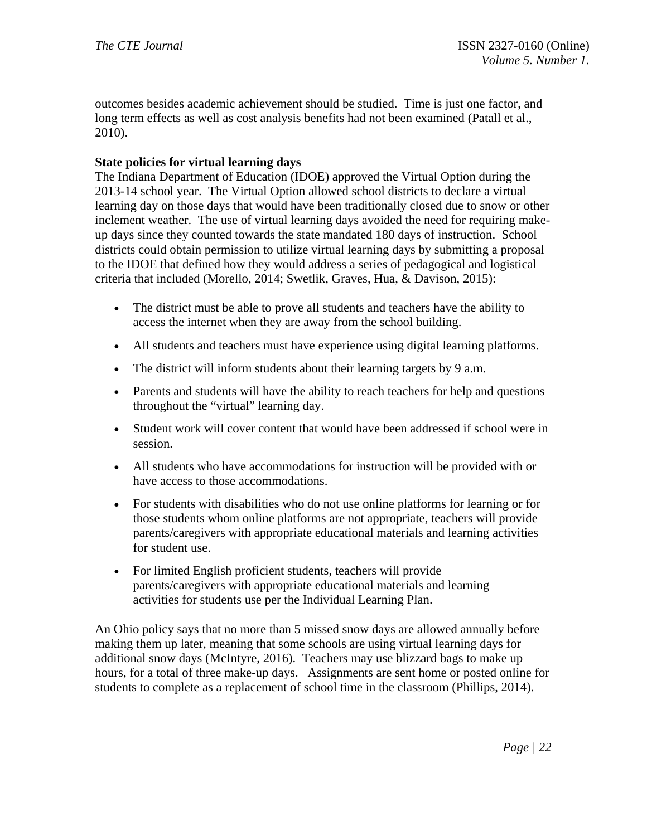outcomes besides academic achievement should be studied. Time is just one factor, and long term effects as well as cost analysis benefits had not been examined (Patall et al., 2010).

# **State policies for virtual learning days**

The Indiana Department of Education (IDOE) approved the Virtual Option during the 2013-14 school year. The Virtual Option allowed school districts to declare a virtual learning day on those days that would have been traditionally closed due to snow or other inclement weather. The use of virtual learning days avoided the need for requiring makeup days since they counted towards the state mandated 180 days of instruction. School districts could obtain permission to utilize virtual learning days by submitting a proposal to the IDOE that defined how they would address a series of pedagogical and logistical criteria that included (Morello, 2014; Swetlik, Graves, Hua, & Davison, 2015):

- The district must be able to prove all students and teachers have the ability to access the internet when they are away from the school building.
- All students and teachers must have experience using digital learning platforms.
- The district will inform students about their learning targets by 9 a.m.
- Parents and students will have the ability to reach teachers for help and questions throughout the "virtual" learning day.
- Student work will cover content that would have been addressed if school were in session.
- All students who have accommodations for instruction will be provided with or have access to those accommodations.
- For students with disabilities who do not use online platforms for learning or for those students whom online platforms are not appropriate, teachers will provide parents/caregivers with appropriate educational materials and learning activities for student use.
- For limited English proficient students, teachers will provide parents/caregivers with appropriate educational materials and learning activities for students use per the Individual Learning Plan.

An Ohio policy says that no more than 5 missed snow days are allowed annually before making them up later, meaning that some schools are using virtual learning days for additional snow days (McIntyre, 2016). Teachers may use blizzard bags to make up hours, for a total of three make-up days. Assignments are sent home or posted online for students to complete as a replacement of school time in the classroom (Phillips, 2014).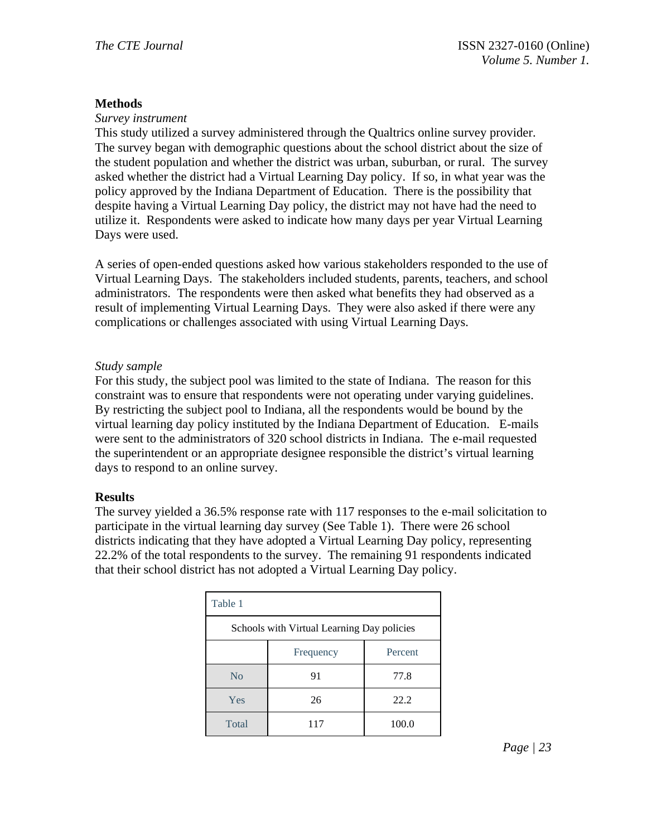### **Methods**

#### *Survey instrument*

This study utilized a survey administered through the Qualtrics online survey provider. The survey began with demographic questions about the school district about the size of the student population and whether the district was urban, suburban, or rural. The survey asked whether the district had a Virtual Learning Day policy. If so, in what year was the policy approved by the Indiana Department of Education. There is the possibility that despite having a Virtual Learning Day policy, the district may not have had the need to utilize it. Respondents were asked to indicate how many days per year Virtual Learning Days were used.

A series of open-ended questions asked how various stakeholders responded to the use of Virtual Learning Days. The stakeholders included students, parents, teachers, and school administrators. The respondents were then asked what benefits they had observed as a result of implementing Virtual Learning Days. They were also asked if there were any complications or challenges associated with using Virtual Learning Days.

### *Study sample*

For this study, the subject pool was limited to the state of Indiana. The reason for this constraint was to ensure that respondents were not operating under varying guidelines. By restricting the subject pool to Indiana, all the respondents would be bound by the virtual learning day policy instituted by the Indiana Department of Education. E-mails were sent to the administrators of 320 school districts in Indiana. The e-mail requested the superintendent or an appropriate designee responsible the district's virtual learning days to respond to an online survey.

### **Results**

The survey yielded a 36.5% response rate with 117 responses to the e-mail solicitation to participate in the virtual learning day survey (See Table 1). There were 26 school districts indicating that they have adopted a Virtual Learning Day policy, representing 22.2% of the total respondents to the survey. The remaining 91 respondents indicated that their school district has not adopted a Virtual Learning Day policy.

| Table 1                                    |                      |       |  |  |
|--------------------------------------------|----------------------|-------|--|--|
| Schools with Virtual Learning Day policies |                      |       |  |  |
|                                            | Percent<br>Frequency |       |  |  |
| N <sub>0</sub>                             | 91                   | 77.8  |  |  |
| Yes                                        | 26                   | 22.2  |  |  |
| Total                                      | 117                  | 100.0 |  |  |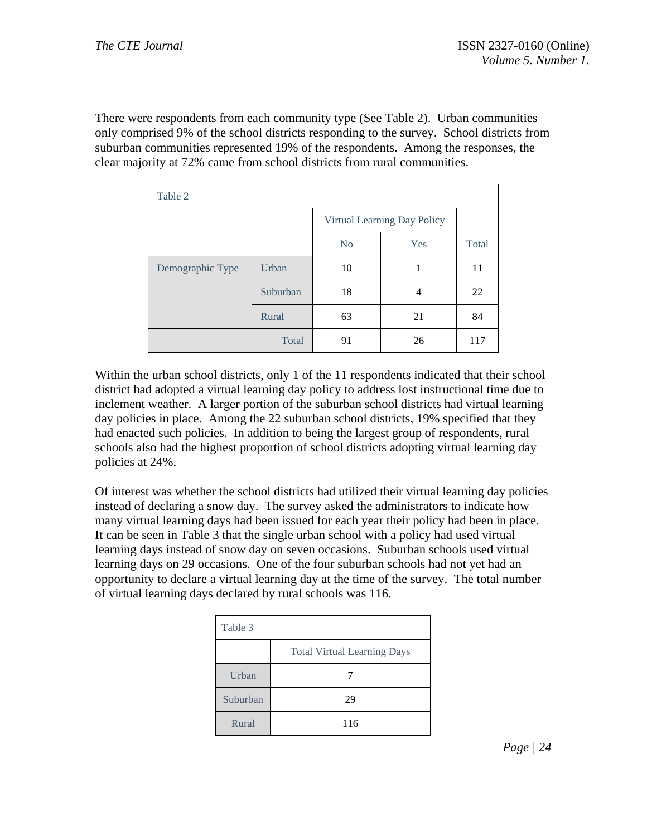There were respondents from each community type (See Table 2). Urban communities only comprised 9% of the school districts responding to the survey. School districts from suburban communities represented 19% of the respondents. Among the responses, the clear majority at 72% came from school districts from rural communities.

| Table 2          |          |                             |     |       |  |
|------------------|----------|-----------------------------|-----|-------|--|
|                  |          | Virtual Learning Day Policy |     |       |  |
|                  |          | N <sub>0</sub>              | Yes | Total |  |
| Demographic Type | Urban    | 10                          | 1   | 11    |  |
|                  | Suburban | 18                          | 4   | 22    |  |
|                  | Rural    | 63                          | 21  | 84    |  |
|                  | Total    | 91                          | 26  | 117   |  |

Within the urban school districts, only 1 of the 11 respondents indicated that their school district had adopted a virtual learning day policy to address lost instructional time due to inclement weather. A larger portion of the suburban school districts had virtual learning day policies in place. Among the 22 suburban school districts, 19% specified that they had enacted such policies. In addition to being the largest group of respondents, rural schools also had the highest proportion of school districts adopting virtual learning day policies at 24%.

Of interest was whether the school districts had utilized their virtual learning day policies instead of declaring a snow day. The survey asked the administrators to indicate how many virtual learning days had been issued for each year their policy had been in place. It can be seen in Table 3 that the single urban school with a policy had used virtual learning days instead of snow day on seven occasions. Suburban schools used virtual learning days on 29 occasions. One of the four suburban schools had not yet had an opportunity to declare a virtual learning day at the time of the survey. The total number of virtual learning days declared by rural schools was 116.

| Table 3  |                                    |
|----------|------------------------------------|
|          | <b>Total Virtual Learning Days</b> |
| Urban    |                                    |
| Suburban | 29                                 |
| Rural    | 116                                |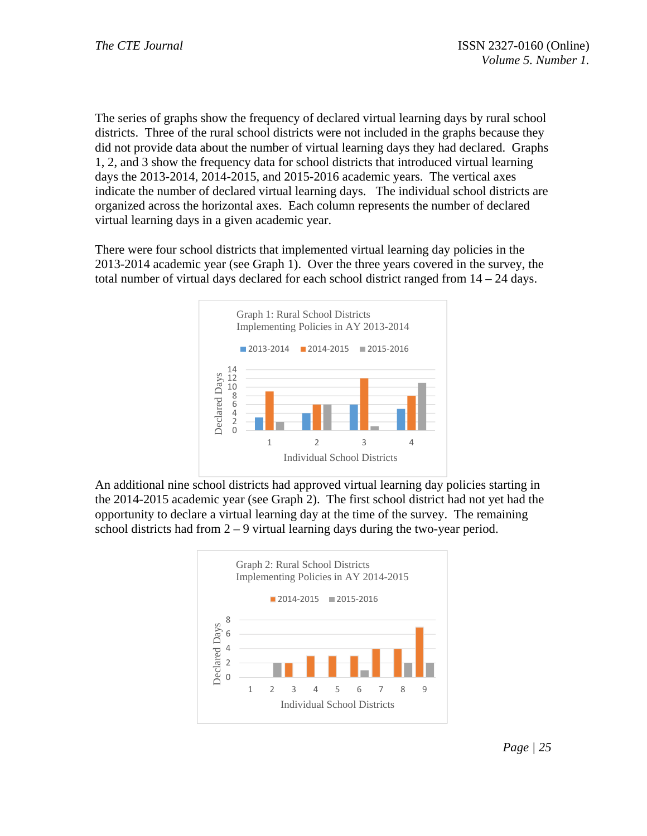The series of graphs show the frequency of declared virtual learning days by rural school districts. Three of the rural school districts were not included in the graphs because they did not provide data about the number of virtual learning days they had declared. Graphs 1, 2, and 3 show the frequency data for school districts that introduced virtual learning days the 2013-2014, 2014-2015, and 2015-2016 academic years. The vertical axes indicate the number of declared virtual learning days. The individual school districts are organized across the horizontal axes. Each column represents the number of declared virtual learning days in a given academic year.

There were four school districts that implemented virtual learning day policies in the 2013-2014 academic year (see Graph 1). Over the three years covered in the survey, the total number of virtual days declared for each school district ranged from 14 – 24 days.



An additional nine school districts had approved virtual learning day policies starting in the 2014-2015 academic year (see Graph 2). The first school district had not yet had the opportunity to declare a virtual learning day at the time of the survey. The remaining school districts had from 2 – 9 virtual learning days during the two-year period.

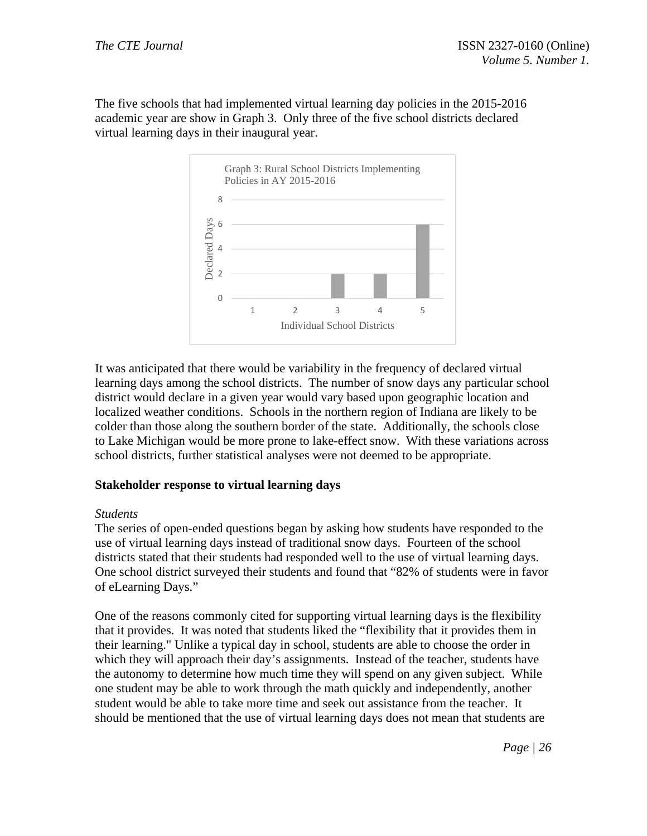The five schools that had implemented virtual learning day policies in the 2015-2016 academic year are show in Graph 3. Only three of the five school districts declared virtual learning days in their inaugural year.



It was anticipated that there would be variability in the frequency of declared virtual learning days among the school districts. The number of snow days any particular school district would declare in a given year would vary based upon geographic location and localized weather conditions. Schools in the northern region of Indiana are likely to be colder than those along the southern border of the state. Additionally, the schools close to Lake Michigan would be more prone to lake-effect snow. With these variations across school districts, further statistical analyses were not deemed to be appropriate.

# **Stakeholder response to virtual learning days**

### *Students*

The series of open-ended questions began by asking how students have responded to the use of virtual learning days instead of traditional snow days. Fourteen of the school districts stated that their students had responded well to the use of virtual learning days. One school district surveyed their students and found that "82% of students were in favor of eLearning Days."

One of the reasons commonly cited for supporting virtual learning days is the flexibility that it provides. It was noted that students liked the "flexibility that it provides them in their learning." Unlike a typical day in school, students are able to choose the order in which they will approach their day's assignments. Instead of the teacher, students have the autonomy to determine how much time they will spend on any given subject. While one student may be able to work through the math quickly and independently, another student would be able to take more time and seek out assistance from the teacher. It should be mentioned that the use of virtual learning days does not mean that students are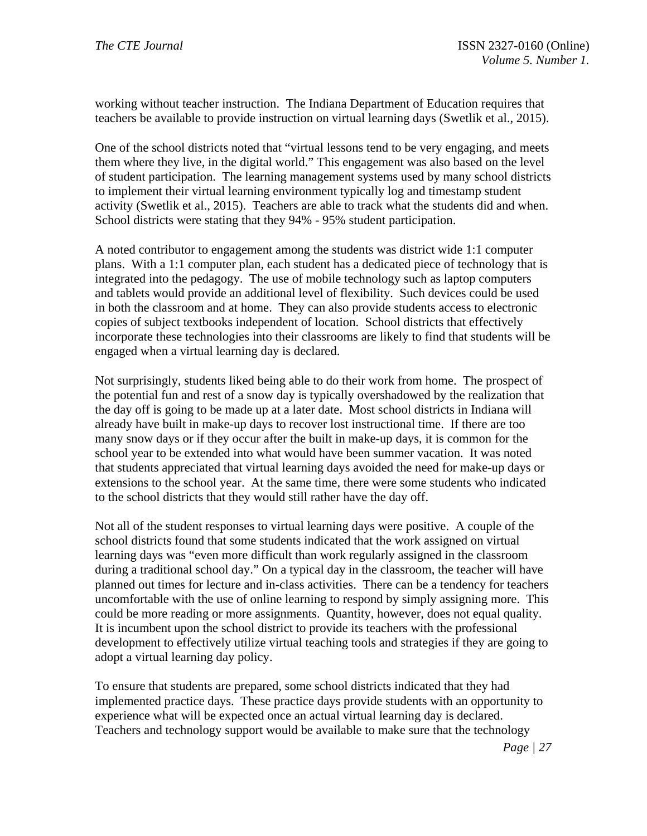working without teacher instruction. The Indiana Department of Education requires that teachers be available to provide instruction on virtual learning days (Swetlik et al., 2015).

One of the school districts noted that "virtual lessons tend to be very engaging, and meets them where they live, in the digital world." This engagement was also based on the level of student participation. The learning management systems used by many school districts to implement their virtual learning environment typically log and timestamp student activity (Swetlik et al., 2015). Teachers are able to track what the students did and when. School districts were stating that they 94% - 95% student participation.

A noted contributor to engagement among the students was district wide 1:1 computer plans. With a 1:1 computer plan, each student has a dedicated piece of technology that is integrated into the pedagogy. The use of mobile technology such as laptop computers and tablets would provide an additional level of flexibility. Such devices could be used in both the classroom and at home. They can also provide students access to electronic copies of subject textbooks independent of location. School districts that effectively incorporate these technologies into their classrooms are likely to find that students will be engaged when a virtual learning day is declared.

Not surprisingly, students liked being able to do their work from home. The prospect of the potential fun and rest of a snow day is typically overshadowed by the realization that the day off is going to be made up at a later date. Most school districts in Indiana will already have built in make-up days to recover lost instructional time. If there are too many snow days or if they occur after the built in make-up days, it is common for the school year to be extended into what would have been summer vacation. It was noted that students appreciated that virtual learning days avoided the need for make-up days or extensions to the school year. At the same time, there were some students who indicated to the school districts that they would still rather have the day off.

Not all of the student responses to virtual learning days were positive. A couple of the school districts found that some students indicated that the work assigned on virtual learning days was "even more difficult than work regularly assigned in the classroom during a traditional school day." On a typical day in the classroom, the teacher will have planned out times for lecture and in-class activities. There can be a tendency for teachers uncomfortable with the use of online learning to respond by simply assigning more. This could be more reading or more assignments. Quantity, however, does not equal quality. It is incumbent upon the school district to provide its teachers with the professional development to effectively utilize virtual teaching tools and strategies if they are going to adopt a virtual learning day policy.

To ensure that students are prepared, some school districts indicated that they had implemented practice days. These practice days provide students with an opportunity to experience what will be expected once an actual virtual learning day is declared. Teachers and technology support would be available to make sure that the technology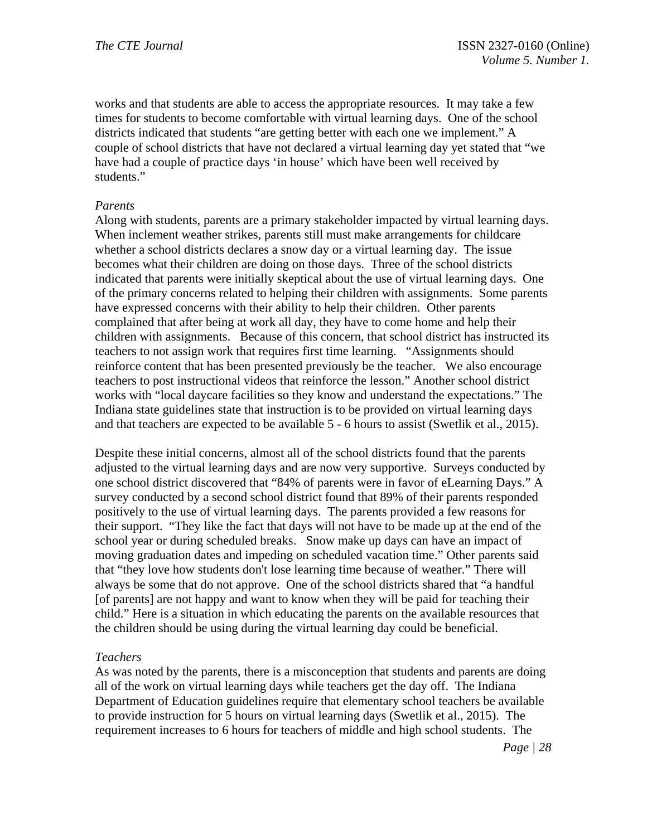works and that students are able to access the appropriate resources. It may take a few times for students to become comfortable with virtual learning days. One of the school districts indicated that students "are getting better with each one we implement." A couple of school districts that have not declared a virtual learning day yet stated that "we have had a couple of practice days 'in house' which have been well received by students."

### *Parents*

Along with students, parents are a primary stakeholder impacted by virtual learning days. When inclement weather strikes, parents still must make arrangements for childcare whether a school districts declares a snow day or a virtual learning day. The issue becomes what their children are doing on those days. Three of the school districts indicated that parents were initially skeptical about the use of virtual learning days. One of the primary concerns related to helping their children with assignments. Some parents have expressed concerns with their ability to help their children. Other parents complained that after being at work all day, they have to come home and help their children with assignments. Because of this concern, that school district has instructed its teachers to not assign work that requires first time learning. "Assignments should reinforce content that has been presented previously be the teacher. We also encourage teachers to post instructional videos that reinforce the lesson." Another school district works with "local daycare facilities so they know and understand the expectations." The Indiana state guidelines state that instruction is to be provided on virtual learning days and that teachers are expected to be available 5 - 6 hours to assist (Swetlik et al., 2015).

Despite these initial concerns, almost all of the school districts found that the parents adjusted to the virtual learning days and are now very supportive. Surveys conducted by one school district discovered that "84% of parents were in favor of eLearning Days." A survey conducted by a second school district found that 89% of their parents responded positively to the use of virtual learning days. The parents provided a few reasons for their support. "They like the fact that days will not have to be made up at the end of the school year or during scheduled breaks. Snow make up days can have an impact of moving graduation dates and impeding on scheduled vacation time." Other parents said that "they love how students don't lose learning time because of weather." There will always be some that do not approve. One of the school districts shared that "a handful [of parents] are not happy and want to know when they will be paid for teaching their child." Here is a situation in which educating the parents on the available resources that the children should be using during the virtual learning day could be beneficial.

### *Teachers*

As was noted by the parents, there is a misconception that students and parents are doing all of the work on virtual learning days while teachers get the day off. The Indiana Department of Education guidelines require that elementary school teachers be available to provide instruction for 5 hours on virtual learning days (Swetlik et al., 2015). The requirement increases to 6 hours for teachers of middle and high school students. The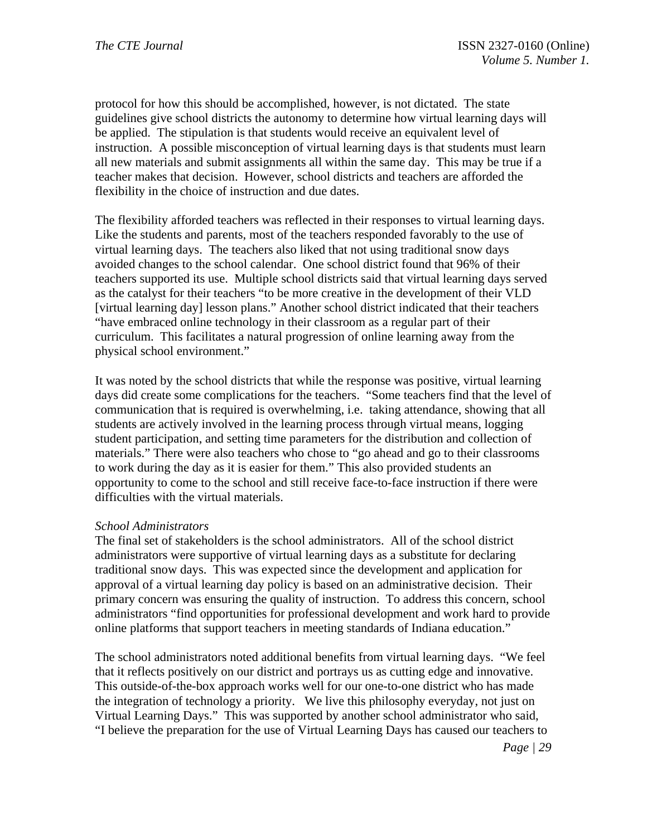protocol for how this should be accomplished, however, is not dictated. The state guidelines give school districts the autonomy to determine how virtual learning days will be applied. The stipulation is that students would receive an equivalent level of instruction. A possible misconception of virtual learning days is that students must learn all new materials and submit assignments all within the same day. This may be true if a teacher makes that decision. However, school districts and teachers are afforded the flexibility in the choice of instruction and due dates.

The flexibility afforded teachers was reflected in their responses to virtual learning days. Like the students and parents, most of the teachers responded favorably to the use of virtual learning days. The teachers also liked that not using traditional snow days avoided changes to the school calendar. One school district found that 96% of their teachers supported its use. Multiple school districts said that virtual learning days served as the catalyst for their teachers "to be more creative in the development of their VLD [virtual learning day] lesson plans." Another school district indicated that their teachers "have embraced online technology in their classroom as a regular part of their curriculum. This facilitates a natural progression of online learning away from the physical school environment."

It was noted by the school districts that while the response was positive, virtual learning days did create some complications for the teachers. "Some teachers find that the level of communication that is required is overwhelming, i.e. taking attendance, showing that all students are actively involved in the learning process through virtual means, logging student participation, and setting time parameters for the distribution and collection of materials." There were also teachers who chose to "go ahead and go to their classrooms to work during the day as it is easier for them." This also provided students an opportunity to come to the school and still receive face-to-face instruction if there were difficulties with the virtual materials.

### *School Administrators*

The final set of stakeholders is the school administrators. All of the school district administrators were supportive of virtual learning days as a substitute for declaring traditional snow days. This was expected since the development and application for approval of a virtual learning day policy is based on an administrative decision. Their primary concern was ensuring the quality of instruction. To address this concern, school administrators "find opportunities for professional development and work hard to provide online platforms that support teachers in meeting standards of Indiana education."

The school administrators noted additional benefits from virtual learning days. "We feel that it reflects positively on our district and portrays us as cutting edge and innovative. This outside-of-the-box approach works well for our one-to-one district who has made the integration of technology a priority. We live this philosophy everyday, not just on Virtual Learning Days." This was supported by another school administrator who said, "I believe the preparation for the use of Virtual Learning Days has caused our teachers to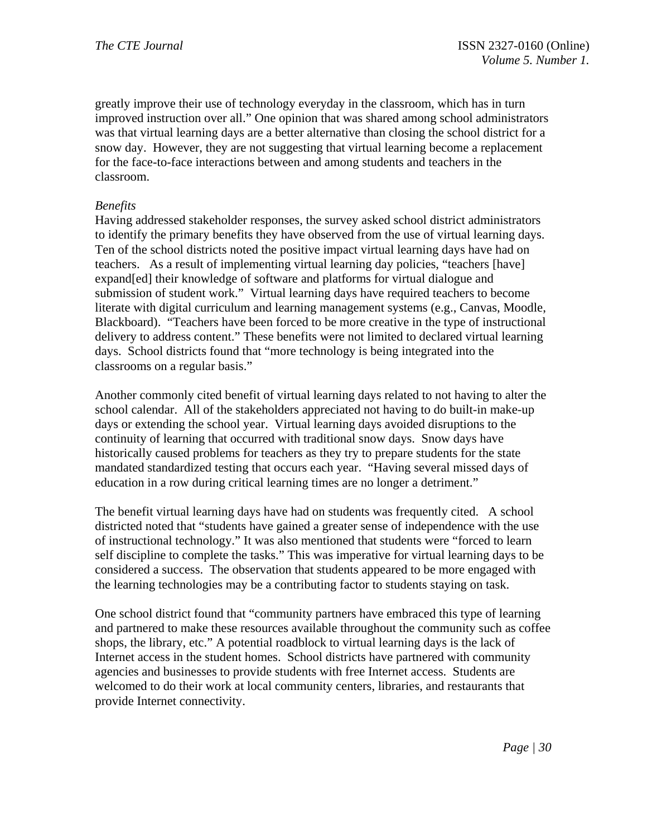greatly improve their use of technology everyday in the classroom, which has in turn improved instruction over all." One opinion that was shared among school administrators was that virtual learning days are a better alternative than closing the school district for a snow day. However, they are not suggesting that virtual learning become a replacement for the face-to-face interactions between and among students and teachers in the classroom.

### *Benefits*

Having addressed stakeholder responses, the survey asked school district administrators to identify the primary benefits they have observed from the use of virtual learning days. Ten of the school districts noted the positive impact virtual learning days have had on teachers. As a result of implementing virtual learning day policies, "teachers [have] expand[ed] their knowledge of software and platforms for virtual dialogue and submission of student work." Virtual learning days have required teachers to become literate with digital curriculum and learning management systems (e.g., Canvas, Moodle, Blackboard). "Teachers have been forced to be more creative in the type of instructional delivery to address content." These benefits were not limited to declared virtual learning days. School districts found that "more technology is being integrated into the classrooms on a regular basis."

Another commonly cited benefit of virtual learning days related to not having to alter the school calendar. All of the stakeholders appreciated not having to do built-in make-up days or extending the school year. Virtual learning days avoided disruptions to the continuity of learning that occurred with traditional snow days. Snow days have historically caused problems for teachers as they try to prepare students for the state mandated standardized testing that occurs each year. "Having several missed days of education in a row during critical learning times are no longer a detriment."

The benefit virtual learning days have had on students was frequently cited. A school districted noted that "students have gained a greater sense of independence with the use of instructional technology." It was also mentioned that students were "forced to learn self discipline to complete the tasks." This was imperative for virtual learning days to be considered a success. The observation that students appeared to be more engaged with the learning technologies may be a contributing factor to students staying on task.

One school district found that "community partners have embraced this type of learning and partnered to make these resources available throughout the community such as coffee shops, the library, etc." A potential roadblock to virtual learning days is the lack of Internet access in the student homes. School districts have partnered with community agencies and businesses to provide students with free Internet access. Students are welcomed to do their work at local community centers, libraries, and restaurants that provide Internet connectivity.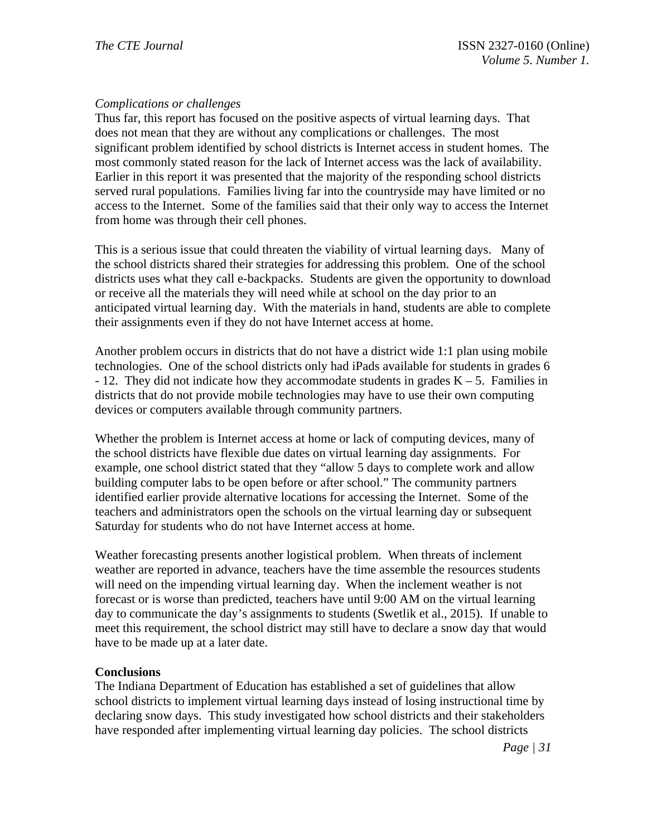# *Complications or challenges*

Thus far, this report has focused on the positive aspects of virtual learning days. That does not mean that they are without any complications or challenges. The most significant problem identified by school districts is Internet access in student homes. The most commonly stated reason for the lack of Internet access was the lack of availability. Earlier in this report it was presented that the majority of the responding school districts served rural populations. Families living far into the countryside may have limited or no access to the Internet. Some of the families said that their only way to access the Internet from home was through their cell phones.

This is a serious issue that could threaten the viability of virtual learning days. Many of the school districts shared their strategies for addressing this problem. One of the school districts uses what they call e-backpacks. Students are given the opportunity to download or receive all the materials they will need while at school on the day prior to an anticipated virtual learning day. With the materials in hand, students are able to complete their assignments even if they do not have Internet access at home.

Another problem occurs in districts that do not have a district wide 1:1 plan using mobile technologies. One of the school districts only had iPads available for students in grades 6  $-12$ . They did not indicate how they accommodate students in grades  $K - 5$ . Families in districts that do not provide mobile technologies may have to use their own computing devices or computers available through community partners.

Whether the problem is Internet access at home or lack of computing devices, many of the school districts have flexible due dates on virtual learning day assignments. For example, one school district stated that they "allow 5 days to complete work and allow building computer labs to be open before or after school." The community partners identified earlier provide alternative locations for accessing the Internet. Some of the teachers and administrators open the schools on the virtual learning day or subsequent Saturday for students who do not have Internet access at home.

Weather forecasting presents another logistical problem. When threats of inclement weather are reported in advance, teachers have the time assemble the resources students will need on the impending virtual learning day. When the inclement weather is not forecast or is worse than predicted, teachers have until 9:00 AM on the virtual learning day to communicate the day's assignments to students (Swetlik et al., 2015). If unable to meet this requirement, the school district may still have to declare a snow day that would have to be made up at a later date.

# **Conclusions**

The Indiana Department of Education has established a set of guidelines that allow school districts to implement virtual learning days instead of losing instructional time by declaring snow days. This study investigated how school districts and their stakeholders have responded after implementing virtual learning day policies. The school districts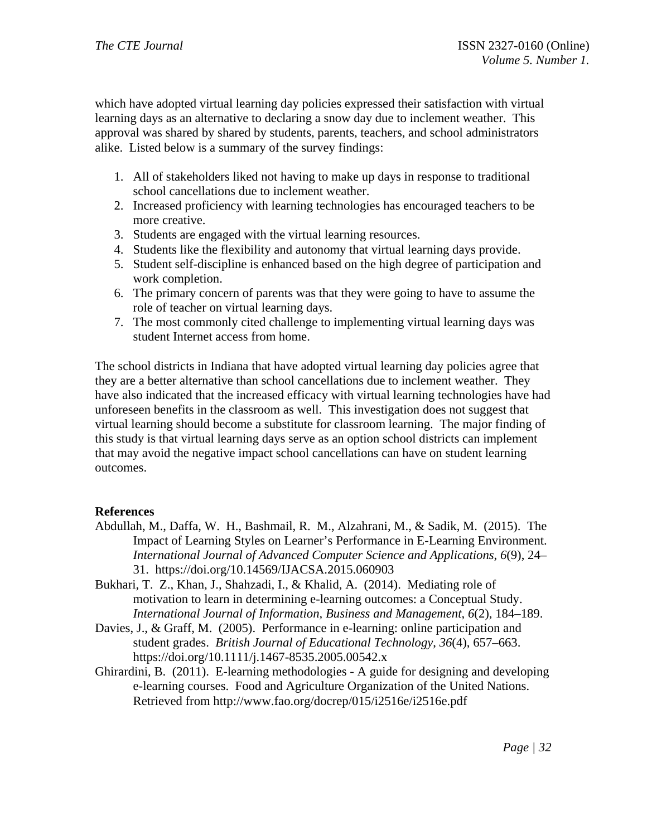which have adopted virtual learning day policies expressed their satisfaction with virtual learning days as an alternative to declaring a snow day due to inclement weather. This approval was shared by shared by students, parents, teachers, and school administrators alike. Listed below is a summary of the survey findings:

- 1. All of stakeholders liked not having to make up days in response to traditional school cancellations due to inclement weather.
- 2. Increased proficiency with learning technologies has encouraged teachers to be more creative.
- 3. Students are engaged with the virtual learning resources.
- 4. Students like the flexibility and autonomy that virtual learning days provide.
- 5. Student self-discipline is enhanced based on the high degree of participation and work completion.
- 6. The primary concern of parents was that they were going to have to assume the role of teacher on virtual learning days.
- 7. The most commonly cited challenge to implementing virtual learning days was student Internet access from home.

The school districts in Indiana that have adopted virtual learning day policies agree that they are a better alternative than school cancellations due to inclement weather. They have also indicated that the increased efficacy with virtual learning technologies have had unforeseen benefits in the classroom as well. This investigation does not suggest that virtual learning should become a substitute for classroom learning. The major finding of this study is that virtual learning days serve as an option school districts can implement that may avoid the negative impact school cancellations can have on student learning outcomes.

# **References**

- Abdullah, M., Daffa, W. H., Bashmail, R. M., Alzahrani, M., & Sadik, M. (2015). The Impact of Learning Styles on Learner's Performance in E-Learning Environment. *International Journal of Advanced Computer Science and Applications*, *6*(9), 24– 31. https://doi.org/10.14569/IJACSA.2015.060903
- Bukhari, T. Z., Khan, J., Shahzadi, I., & Khalid, A. (2014). Mediating role of motivation to learn in determining e-learning outcomes: a Conceptual Study. *International Journal of Information, Business and Management*, *6*(2), 184–189.
- Davies, J., & Graff, M. (2005). Performance in e-learning: online participation and student grades. *British Journal of Educational Technology*, *36*(4), 657–663. https://doi.org/10.1111/j.1467-8535.2005.00542.x
- Ghirardini, B. (2011). E-learning methodologies A guide for designing and developing e-learning courses. Food and Agriculture Organization of the United Nations. Retrieved from http://www.fao.org/docrep/015/i2516e/i2516e.pdf